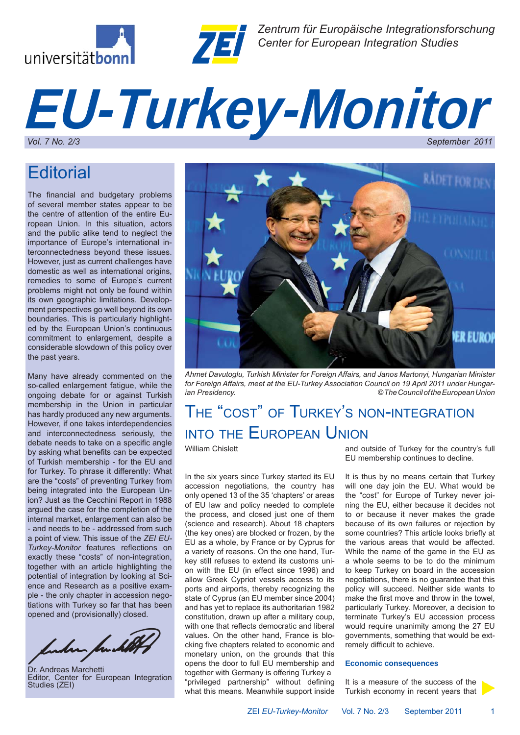



*Zentrum für Europäische Integrationsforschung Center for European Integration Studies*

# *EU-Turkey-Monitor* September 2011

## **Editorial**

The financial and budgetary problems of several member states appear to be the centre of attention of the entire European Union. In this situation, actors and the public alike tend to neglect the importance of Europe's international interconnectedness beyond these issues. However, just as current challenges have domestic as well as international origins, remedies to some of Europe's current problems might not only be found within its own geographic limitations. Development perspectives go well beyond its own boundaries. This is particularly highlighted by the European Union's continuous commitment to enlargement, despite a considerable slowdown of this policy over the past years.

Many have already commented on the so-called enlargement fatigue, while the ongoing debate for or against Turkish membership in the Union in particular has hardly produced any new arguments. However, if one takes interdependencies and interconnectedness seriously, the debate needs to take on a specific angle by asking what benefits can be expected of Turkish membership - for the EU and for Turkey. To phrase it differently: What are the "costs" of preventing Turkey from being integrated into the European Union? Just as the Cecchini Report in 1988 argued the case for the completion of the internal market, enlargement can also be - and needs to be - addressed from such a point of view. This issue of the *ZEI EU-Turkey-Monitor* features reflections on exactly these "costs" of non-integration, together with an article highlighting the potential of integration by looking at Science and Research as a positive example - the only chapter in accession negotiations with Turkey so far that has been opened and (provisionally) closed.

luhun fuch

Dr. Andreas Marchetti Editor, Center for European Integration Studies (ZEI)



*Ahmet Davutoglu, Turkish Minister for Foreign Affairs, and Janos Martonyi, Hungarian Minister for Foreign Affairs, meet at the EU-Turkey Association Council on 19 April 2011 under Hungarian Presidency. © The Council of the European Union*

## THE "COST" OF TURKEY'S NON-INTEGRATION INTO THE EUROPEAN UNION

William Chislett

In the six years since Turkey started its EU accession negotiations, the country has only opened 13 of the 35 'chapters' or areas of EU law and policy needed to complete the process, and closed just one of them (science and research). About 18 chapters (the key ones) are blocked or frozen, by the EU as a whole, by France or by Cyprus for a variety of reasons. On the one hand, Turkey still refuses to extend its customs union with the EU (in effect since 1996) and allow Greek Cypriot vessels access to its ports and airports, thereby recognizing the state of Cyprus (an EU member since 2004) and has yet to replace its authoritarian 1982 constitution, drawn up after a military coup, with one that reflects democratic and liberal values. On the other hand, France is blocking five chapters related to economic and monetary union, on the grounds that this opens the door to full EU membership and together with Germany is offering Turkey a "privileged partnership" without defining what this means. Meanwhile support inside

and outside of Turkey for the country's full EU membership continues to decline.

It is thus by no means certain that Turkey will one day join the EU. What would be the "cost" for Europe of Turkey never joining the EU, either because it decides not to or because it never makes the grade because of its own failures or rejection by some countries? This article looks briefly at the various areas that would be affected. While the name of the game in the EU as a whole seems to be to do the minimum to keep Turkey on board in the accession negotiations, there is no guarantee that this policy will succeed. Neither side wants to make the first move and throw in the towel, particularly Turkey. Moreover, a decision to terminate Turkey's EU accession process would require unanimity among the 27 EU governments, something that would be extremely difficult to achieve.

### **Economic consequences**

It is a measure of the success of the Turkish economy in recent years that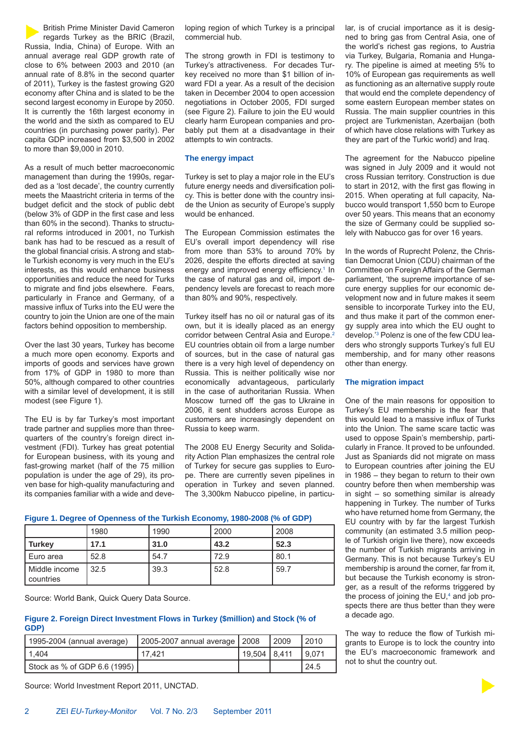British Prime Minister David Cameron regards Turkey as the BRIC (Brazil, Russia, India, China) of Europe. With an annual average real GDP growth rate of close to 6% between 2003 and 2010 (an annual rate of 8.8% in the second quarter of 2011), Turkey is the fastest growing G20 economy after China and is slated to be the second largest economy in Europe by 2050. It is currently the 16th largest economy in the world and the sixth as compared to EU countries (in purchasing power parity). Per capita GDP increased from \$3,500 in 2002 to more than \$9,000 in 2010.

As a result of much better macroeconomic management than during the 1990s, regarded as a 'lost decade', the country currently meets the Maastricht criteria in terms of the budget deficit and the stock of public debt (below 3% of GDP in the first case and less than 60% in the second). Thanks to structural reforms introduced in 2001, no Turkish bank has had to be rescued as a result of the global financial crisis. A strong and stable Turkish economy is very much in the EU's interests, as this would enhance business opportunities and reduce the need for Turks to migrate and find jobs elsewhere. Fears, particularly in France and Germany, of a massive influx of Turks into the EU were the country to join the Union are one of the main factors behind opposition to membership.

Over the last 30 years, Turkey has become a much more open economy. Exports and imports of goods and services have grown from 17% of GDP in 1980 to more than 50%, although compared to other countries with a similar level of development, it is still modest (see Figure 1).

The EU is by far Turkey's most important trade partner and supplies more than threequarters of the country's foreign direct investment (FDI). Turkey has great potential for European business, with its young and fast-growing market (half of the 75 million population is under the age of 29), its proven base for high-quality manufacturing and its companies familiar with a wide and developing region of which Turkey is a principal commercial hub.

The strong growth in FDI is testimony to Turkey's attractiveness. For decades Turkey received no more than \$1 billion of inward FDI a year. As a result of the decision taken in December 2004 to open accession negotiations in October 2005, FDI surged (see Figure 2). Failure to join the EU would clearly harm European companies and probably put them at a disadvantage in their attempts to win contracts.

### **The energy impact**

Turkey is set to play a major role in the EU's future energy needs and diversification policy. This is better done with the country inside the Union as security of Europe's supply would be enhanced.

The European Commission estimates the EU's overall import dependency will rise from more than 53% to around 70% by 2026, despite the efforts directed at saving energy and improved energy efficiency.<sup>1</sup> In the case of natural gas and oil, import dependency levels are forecast to reach more than 80% and 90%, respectively.

Turkey itself has no oil or natural gas of its own, but it is ideally placed as an energy corridor between Central Asia and Europe.<sup>2</sup> EU countries obtain oil from a large number of sources, but in the case of natural gas there is a very high level of dependency on Russia. This is neither politically wise nor economically advantageous, particularly in the case of authoritarian Russia. When Moscow turned off the gas to Ukraine in 2006, it sent shudders across Europe as customers are increasingly dependent on Russia to keep warm.

The 2008 EU Energy Security and Solidarity Action Plan emphasizes the central role of Turkey for secure gas supplies to Europe. There are currently seven pipelines in operation in Turkey and seven planned. The 3,300km Nabucco pipeline, in particular, is of crucial importance as it is designed to bring gas from Central Asia, one of the world's richest gas regions, to Austria via Turkey, Bulgaria, Romania and Hungary. The pipeline is aimed at meeting 5% to 10% of European gas requirements as well as functioning as an alternative supply route that would end the complete dependency of some eastern European member states on Russia. The main supplier countries in this project are Turkmenistan, Azerbaijan (both of which have close relations with Turkey as they are part of the Turkic world) and Iraq.

The agreement for the Nabucco pipeline was signed in July 2009 and it would not cross Russian territory. Construction is due to start in 2012, with the first gas flowing in 2015. When operating at full capacity, Nabucco would transport 1,550 bcm to Europe over 50 years. This means that an economy the size of Germany could be supplied solely with Nabucco gas for over 16 years.

In the words of Ruprecht Polenz, the Christian Democrat Union (CDU) chairman of the Committee on Foreign Affairs of the German parliament, 'the supreme importance of secure energy supplies for our economic development now and in future makes it seem sensible to incorporate Turkey into the EU, and thus make it part of the common energy supply area into which the EU ought to develop.'3 Polenz is one of the few CDU leaders who strongly supports Turkey's full EU membership, and for many other reasons other than energy.

### **The migration impact**

One of the main reasons for opposition to Turkey's EU membership is the fear that this would lead to a massive influx of Turks into the Union. The same scare tactic was used to oppose Spain's membership, particularly in France. It proved to be unfounded. Just as Spaniards did not migrate on mass to European countries after joining the EU in 1986 – they began to return to their own country before then when membership was in sight – so something similar is already happening in Turkey. The number of Turks who have returned home from Germany, the EU country with by far the largest Turkish community (an estimated 3.5 million people of Turkish origin live there), now exceeds the number of Turkish migrants arriving in Germany. This is not because Turkey's EU membership is around the corner, far from it, but because the Turkish economy is stronger, as a result of the reforms triggered by the process of joining the  $EU^4$  and job prospects there are thus better than they were a decade ago.

The way to reduce the flow of Turkish migrants to Europe is to lock the country into the EU's macroeconomic framework and not to shut the country out.

### **Figure 1. Degree of Openness of the Turkish Economy, 1980-2008 (% of GDP)**

|                            | 1980 | 1990 | 2000 | 2008 |
|----------------------------|------|------|------|------|
| <b>Turkey</b>              | 17.1 | 31.0 | 43.2 | 52.3 |
| Euro area                  | 52.8 | 54.7 | 72.9 | 80.1 |
| Middle income<br>countries | 32.5 | 39.3 | 52.8 | 59.7 |

Source: World Bank, Quick Query Data Source.

### **Figure 2. Foreign Direct Investment Flows in Turkey (\$million) and Stock (% of GDP)**

| 1995-2004 (annual average)   | 2005-2007 annual average   2008 |                    | l 2009 | '2010 |
|------------------------------|---------------------------------|--------------------|--------|-------|
| 11.404                       | 17.421                          | $119.504$ $18.411$ |        | 9.071 |
| Stock as % of GDP 6.6 (1995) |                                 |                    |        | 24.5  |

Source: World Investment Report 2011, UNCTAD.

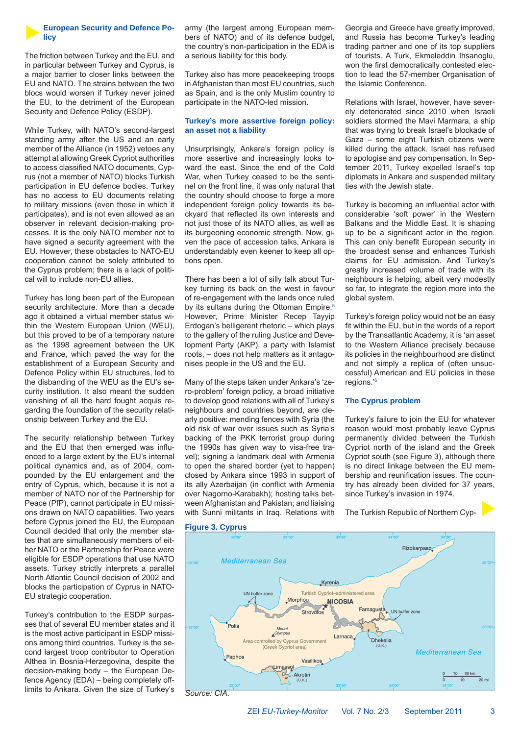

### **European Security and Defence Policy**

The friction between Turkey and the EU, and in particular between Turkey and Cyprus, is a major barrier to closer links between the EU and NATO. The strains between the two blocs would worsen if Turkey never joined the EU, to the detriment of the European Security and Defence Policy (ESDP).

While Turkey, with NATO's second-largest standing army after the US and an early member of the Alliance (in 1952) vetoes any attempt at allowing Greek Cypriot authorities to access classified NATO documents, Cyprus (not a member of NATO) blocks Turkish participation in EU defence bodies. Turkey has no access to EU documents relating to military missions (even those in which it participates), and is not even allowed as an observer in relevant decision-making processes. It is the only NATO member not to have signed a security agreement with the EU. However, these obstacles to NATO-EU cooperation cannot be solely attributed to the Cyprus problem; there is a lack of political will to include non-EU allies.

Turkey has long been part of the European security architecture. More than a decade ago it obtained a virtual member status within the Western European Union (WEU), but this proved to be of a temporary nature as the 1998 agreement between the UK and France, which paved the way for the establishment of a European Security and Defence Policy within EU structures, led to the disbanding of the WEU as the EU's security institution. It also meant the sudden vanishing of all the hard fought acquis regarding the foundation of the security relationship between Turkey and the EU.

The security relationship between Turkey and the EU that then emerged was influenced to a large extent by the EU's internal political dynamics and, as of 2004, compounded by the EU enlargement and the entry of Cyprus, which, because it is not a member of NATO nor of the Partnership for Peace (PfP), cannot participate in EU missions drawn on NATO capabilities. Two years before Cyprus joined the EU, the European Council decided that only the member states that are simultaneously members of either NATO or the Partnership for Peace were eligible for ESDP operations that use NATO assets. Turkey strictly interprets a parallel North Atlantic Council decision of 2002 and blocks the participation of Cyprus in NATO-EU strategic cooperation.

Turkey's contribution to the ESDP surpasses that of several EU member states and it is the most active participant in ESDP missions among third countries. Turkey is the second largest troop contributor to Operation Althea in Bosnia-Herzegovina, despite the decision-making body – the European Defence Agency (EDA) – being completely offlimits to Ankara. Given the size of Turkey's army (the largest among European members of NATO) and of its defence budget, the country's non-participation in the EDA is a serious liability for this body.

Turkey also has more peacekeeping troops in Afghanistan than most EU countries, such as Spain, and is the only Muslim country to participate in the NATO-led mission.

### **Turkey's more assertive foreign policy: an asset not a liability**

Unsurprisingly, Ankara's foreign policy is more assertive and increasingly looks toward the east. Since the end of the Cold War, when Turkey ceased to be the sentinel on the front line, it was only natural that the country should choose to forge a more independent foreign policy towards its backyard that reflected its own interests and not just those of its NATO allies, as well as its burgeoning economic strength. Now, given the pace of accession talks, Ankara is understandably even keener to keep all options open.

There has been a lot of silly talk about Turkey turning its back on the west in favour of re-engagement with the lands once ruled by its sultans during the Ottoman Empire.<sup>5</sup> However, Prime Minister Recep Tayyip Erdogan's belligerent rhetoric – which plays to the gallery of the ruling Justice and Development Party (AKP), a party with Islamist roots, – does not help matters as it antagonises people in the US and the EU.

Many of the steps taken under Ankara's 'zero-problem' foreign policy, a broad initiative to develop good relations with all of Turkey's neighbours and countries beyond, are clearly positive: mending fences with Syria (the old risk of war over issues such as Syria's backing of the PKK terrorist group during the 1990s has given way to visa-free travel); signing a landmark deal with Armenia to open the shared border (yet to happen) closed by Ankara since 1993 in support of its ally Azerbaijan (in conflict with Armenia over Nagorno-Karabakh); hosting talks between Afghanistan and Pakistan; and liaising with Sunni militants in Iraq. Relations with Georgia and Greece have greatly improved, and Russia has become Turkey's leading trading partner and one of its top suppliers of tourists. A Turk, Ekmeleddin Ihsanoglu, won the first democratically contested election to lead the 57-member Organisation of the Islamic Conference.

Relations with Israel, however, have severely deteriorated since 2010 when Israeli soldiers stormed the Mavi Marmara, a ship that was trying to break Israel's blockade of Gaza – some eight Turkish citizens were killed during the attack. Israel has refused to apologise and pay compensation. In September 2011, Turkey expelled Israel's top diplomats in Ankara and suspended military ties with the Jewish state.

Turkey is becoming an influential actor with considerable 'soft power' in the Western Balkans and the Middle East. It is shaping up to be a significant actor in the region. This can only benefit European security in the broadest sense and enhances Turkish claims for EU admission. And Turkey's greatly increased volume of trade with its neighbours is helping, albeit very modestly so far, to integrate the region more into the global system.

Turkey's foreign policy would not be an easy fit within the EU, but in the words of a report by the Transatlantic Academy, it is 'an asset to the Western Alliance precisely because its policies in the neighbourhood are distinct and not simply a replica of (often unsuccessful) American and EU policies in these regions.'6

### **The Cyprus problem**

Turkey's failure to join the EU for whatever reason would most probably leave Cyprus permanently divided between the Turkish Cypriot north of the island and the Greek Cypriot south (see Figure 3), although there is no direct linkage between the EU membership and reunification issues. The country has already been divided for 37 years, since Turkey's invasion in 1974.

The Turkish Republic of Northern Cyp-

### **Figure 3. Cyprus**

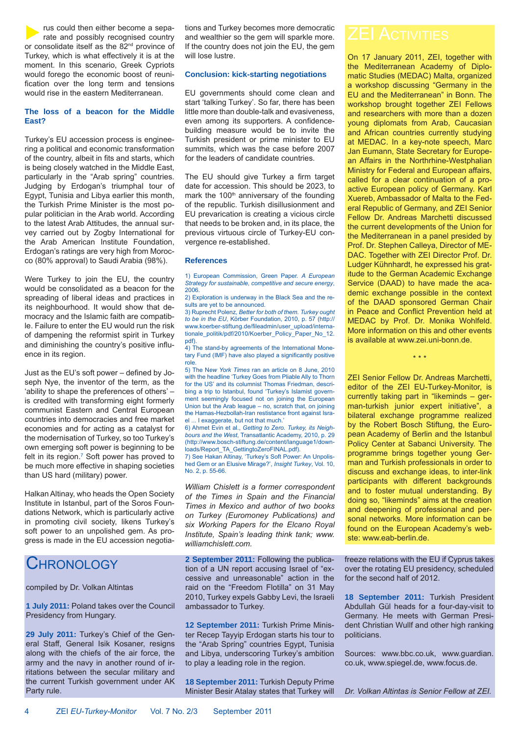rus could then either become a separate and possibly recognised country or consolidate itself as the 82<sup>nd</sup> province of Turkey, which is what effectively it is at the moment. In this scenario, Greek Cypriots would forego the economic boost of reunification over the long term and tensions would rise in the eastern Mediterranean.

### **The loss of a beacon for the Middle East?**

Turkey's EU accession process is engineering a political and economic transformation of the country, albeit in fits and starts, which is being closely watched in the Middle East, particularly in the "Arab spring" countries. Judging by Erdogan's triumphal tour of Egypt, Tunisia and Libya earlier this month, the Turkish Prime Minister is the most popular politician in the Arab world. According to the latest Arab Attitudes, the annual survey carried out by Zogby International for the Arab American Institute Foundation, Erdogan's ratings are very high from Morocco (80% approval) to Saudi Arabia (98%).

Were Turkey to join the EU, the country would be consolidated as a beacon for the spreading of liberal ideas and practices in its neighbourhood. It would show that democracy and the Islamic faith are compatible. Failure to enter the EU would run the risk of dampening the reformist spirit in Turkey and diminishing the country's positive influence in its region.

Just as the EU's soft power – defined by Joseph Nye, the inventor of the term, as the 'ability to shape the preferences of others' – is credited with transforming eight formerly communist Eastern and Central European countries into democracies and free market economies and for acting as a catalyst for the modernisation of Turkey, so too Turkey's own emerging soft power is beginning to be felt in its region.7 Soft power has proved to be much more effective in shaping societies than US hard (military) power.

Halkan Altinay, who heads the Open Society Institute in Istanbul, part of the Soros Foundations Network, which is particularly active in promoting civil society, likens Turkey's soft power to an unpolished gem. As progress is made in the EU accession negotia-

## CHRONOLOGY

### compiled by Dr. Volkan Altintas

**1 July 2011:** Poland takes over the Council Presidency from Hungary.

**29 July 2011:** Turkey's Chief of the General Staff, General Isik Kosaner, resigns along with the chiefs of the air force, the army and the navy in another round of irritations between the secular military and the current Turkish government under AK Party rule.

tions and Turkey becomes more democratic and wealthier so the gem will sparkle more. If the country does not join the EU, the gem will lose lustre.

### **Conclusion: kick-starting negotiations**

EU governments should come clean and start 'talking Turkey'. So far, there has been little more than double-talk and evasiveness, even among its supporters. A confidencebuilding measure would be to invite the Turkish president or prime minister to EU summits, which was the case before 2007 for the leaders of candidate countries.

The EU should give Turkey a firm target date for accession. This should be 2023, to mark the 100<sup>th</sup> anniversary of the founding of the republic. Turkish disillusionment and EU prevarication is creating a vicious circle that needs to be broken and, in its place, the previous virtuous circle of Turkey-EU convergence re-established.

### **References**

1) European Commission, Green Paper. *A European Strategy for sustainable, competitive and secure energy*, 2006.

2) Exploration is underway in the Black Sea and the results are yet to be announced.

3) Ruprecht Polenz, *Better for both of them. Turkey ought to be in the EU*, Körber Foundation, 2010, p. 57 (http:// www.koerber-stiftung.de/fileadmin/user\_upload/internationale\_politik/pdf/2010/Koerber\_Policy\_Paper\_No\_12. pdf).

4) The stand-by agreements of the International Monetary Fund (IMF) have also played a significantly positive role.

5) The N*ew York Times* ran an article on 8 June, 2010 with the headline 'Turkey Goes from Pliable Ally to Thorn for the US' and its columnist Thomas Friedman, describing a trip to Istanbul, found 'Turkey's Islamist government seemingly focused not on joining the European Union but the Arab league – no, scratch that, on joining the Hamas-Hezbollah-Iran restistance front against Israel ... I exaggerate, but not that much.'

6) Ahmet Evin et al., *Getting to Zero. Turkey, its Neighbours and the West*, Transatlantic Academy, 2010, p. 29 (http://www.bosch-stiftung.de/content/language1/downloads/Report\_TA\_GettingtoZeroFINAL.pdf).

7) See Hakan Altinay, 'Turkey's Soft Power: An Unpolished Gem or an Elusive Mirage?', *Insight Turkey*, Vol. 10, No. 2, p. 55-66.

*William Chislett is a former correspondent of the Times in Spain and the Financial Times in Mexico and author of two books on Turkey (Euromoney Publications) and six Working Papers for the Elcano Royal Institute, Spain's leading think tank; www. williamchislett.com.*

**2 September 2011:** Following the publication of a UN report accusing Israel of "excessive and unreasonable" action in the raid on the "Freedom Flotilla" on 31 May 2010, Turkey expels Gabby Levi, the Israeli ambassador to Turkey.

**12 September 2011:** Turkish Prime Minister Recep Tayyip Erdogan starts his tour to the "Arab Spring" countries Egypt, Tunisia and Libya, underscoring Turkey's ambition to play a leading role in the region.

**18 September 2011:** Turkish Deputy Prime Minister Besir Atalay states that Turkey will

On 17 January 2011, ZEI, together with the Mediterranean Academy of Diplomatic Studies (MEDAC) Malta, organized a workshop discussing "Germany in the EU and the Mediterranean" in Bonn. The workshop brought together ZEI Fellows and researchers with more than a dozen young diplomats from Arab, Caucasian and African countries currently studying at MEDAC. In a key-note speech, Marc Jan Eumann, State Secretary for European Affairs in the Northrhine-Westphalian Ministry for Federal and European affairs, called for a clear continuation of a proactive European policy of Germany. Karl Xuereb, Ambassador of Malta to the Federal Republic of Germany, and ZEI Senior Fellow Dr. Andreas Marchetti discussed the current developments of the Union for the Mediterranean in a panel presided by Prof. Dr. Stephen Calleya, Director of ME-DAC. Together with ZEI Director Prof. Dr. Ludger Kühnhardt, he expressed his gratitude to the German Academic Exchange Service (DAAD) to have made the academic exchange possible in the context of the DAAD sponsored German Chair in Peace and Conflict Prevention held at MEDAC by Prof. Dr. Monika Wohlfeld. More information on this and other events is available at www.zei.uni-bonn.de.

ZEI Senior Fellow Dr. Andreas Marchetti, editor of the ZEI EU-Turkey-Monitor, is currently taking part in "likeminds – german-turkish junior expert initiative", a bilateral exchange programme realized by the Robert Bosch Stiftung, the European Academy of Berlin and the Istanbul Policy Center at Sabanci University. The programme brings together young German and Turkish professionals in order to discuss and exchange ideas, to inter-link participants with different backgrounds and to foster mutual understanding. By doing so, "likeminds" aims at the creation and deepening of professional and personal networks. More information can be found on the European Academy's webste: www.eab-berlin.de.

\* \* \*

freeze relations with the EU if Cyprus takes over the rotating EU presidency, scheduled for the second half of 2012.

**18 September 2011:** Turkish President Abdullah Gül heads for a four-day-visit to Germany. He meets with German President Christian Wullf and other high ranking politicians.

Sources: www.bbc.co.uk, www.guardian. co.uk, www.spiegel.de, www.focus.de.

*Dr. Volkan Altintas is Senior Fellow at ZEI.*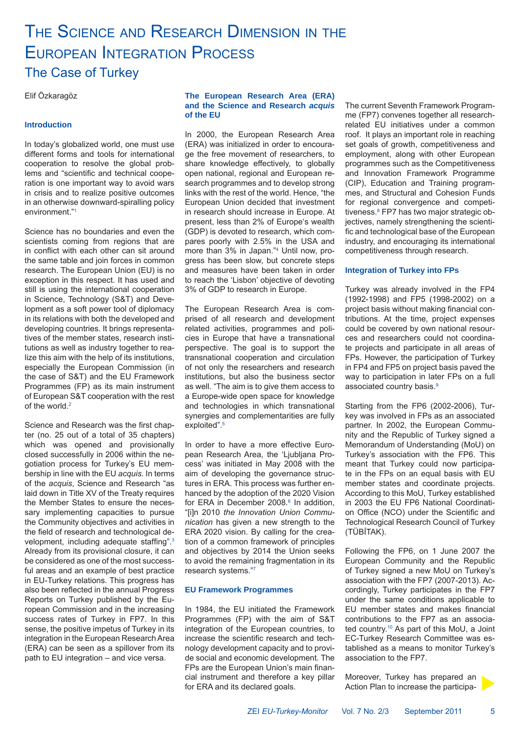## THE SCIENCE AND RESEARCH DIMENSION IN THE EUROPEAN INTEGRATION PROCESS The Case of Turkey

Elif Özkaragöz

### **Introduction**

In today's globalized world, one must use different forms and tools for international cooperation to resolve the global problems and "scientific and technical cooperation is one important way to avoid wars in crisis and to realize positive outcomes in an otherwise downward-spiralling policy environment."1

Science has no boundaries and even the scientists coming from regions that are in conflict with each other can sit around the same table and join forces in common research. The European Union (EU) is no exception in this respect. It has used and still is using the international cooperation in Science, Technology (S&T) and Development as a soft power tool of diplomacy in its relations with both the developed and developing countries. It brings representatives of the member states, research institutions as well as industry together to realize this aim with the help of its institutions, especially the European Commission (in the case of S&T) and the EU Framework Programmes (FP) as its main instrument of European S&T cooperation with the rest of the world.<sup>2</sup>

Science and Research was the first chapter (no. 25 out of a total of 35 chapters) which was opened and provisionally closed successfully in 2006 within the negotiation process for Turkey's EU membership in line with the EU *acquis*. In terms of the *acquis*, Science and Research "as laid down in Title XV of the Treaty requires the Member States to ensure the necessary implementing capacities to pursue the Community objectives and activities in the field of research and technological development, including adequate staffing".<sup>3</sup> Already from its provisional closure, it can be considered as one of the most successful areas and an example of best practice in EU-Turkey relations. This progress has also been reflected in the annual Progress Reports on Turkey published by the European Commission and in the increasing success rates of Turkey in FP7. In this sense, the positive impetus of Turkey in its integration in the European Research Area (ERA) can be seen as a spillover from its path to EU integration – and vice versa.

### **The European Research Area (ERA) and the Science and Research** *acquis* **of the EU**

In 2000, the European Research Area (ERA) was initialized in order to encourage the free movement of researchers, to share knowledge effectively, to globally open national, regional and European research programmes and to develop strong links with the rest of the world. Hence, "the European Union decided that investment in research should increase in Europe. At present, less than 2% of Europe's wealth (GDP) is devoted to research, which compares poorly with 2.5% in the USA and more than 3% in Japan."4 Until now, progress has been slow, but concrete steps and measures have been taken in order to reach the 'Lisbon' objective of devoting 3% of GDP to research in Europe.

The European Research Area is comprised of all research and development related activities, programmes and policies in Europe that have a transnational perspective. The goal is to support the transnational cooperation and circulation of not only the researchers and research institutions, but also the business sector as well. "The aim is to give them access to a Europe-wide open space for knowledge and technologies in which transnational synergies and complementarities are fully exploited".<sup>5</sup>

In order to have a more effective European Research Area, the 'Ljubljana Process' was initiated in May 2008 with the aim of developing the governance structures in ERA. This process was further enhanced by the adoption of the 2020 Vision for ERA in December 2008.<sup>6</sup> In addition, "[i]n 2010 *the Innovation Union Communication* has given a new strength to the ERA 2020 vision. By calling for the creation of a common framework of principles and objectives by 2014 the Union seeks to avoid the remaining fragmentation in its research systems."7

### **EU Framework Programmes**

In 1984, the EU initiated the Framework Programmes (FP) with the aim of S&T integration of the European countries, to increase the scientific research and technology development capacity and to provide social and economic development. The FPs are the European Union's main financial instrument and therefore a key pillar for ERA and its declared goals.

The current Seventh Framework Programme (FP7) convenes together all researchrelated EU initiatives under a common roof. It plays an important role in reaching set goals of growth, competitiveness and employment, along with other European programmes such as the Competitiveness and Innovation Framework Programme (CIP), Education and Training programmes, and Structural and Cohesion Funds for regional convergence and competitiveness.<sup>8</sup> FP7 has two major strategic objectives, namely strengthening the scientific and technological base of the European industry, and encouraging its international competitiveness through research.

### **Integration of Turkey into FPs**

Turkey was already involved in the FP4 (1992-1998) and FP5 (1998-2002) on a project basis without making financial contributions. At the time, project expenses could be covered by own national resources and researchers could not coordinate projects and participate in all areas of FPs. However, the participation of Turkey in FP4 and FP5 on project basis paved the way to participation in later FPs on a full associated country basis.9

Starting from the FP6 (2002-2006), Turkey was involved in FPs as an associated partner. In 2002, the European Community and the Republic of Turkey signed a Memorandum of Understanding (MoU) on Turkey's association with the FP6. This meant that Turkey could now participate in the FPs on an equal basis with EU member states and coordinate projects. According to this MoU, Turkey established in 2003 the EU FP6 National Coordination Office (NCO) under the Scientific and Technological Research Council of Turkey (TÜBİTAK).

Following the FP6, on 1 June 2007 the European Community and the Republic of Turkey signed a new MoU on Turkey's association with the FP7 (2007-2013). Accordingly, Turkey participates in the FP7 under the same conditions applicable to EU member states and makes financial contributions to the FP7 as an associated country.10 As part of this MoU, a Joint EC-Turkey Research Committee was established as a means to monitor Turkey's association to the FP7.

Moreover, Turkey has prepared an Action Plan to increase the participa-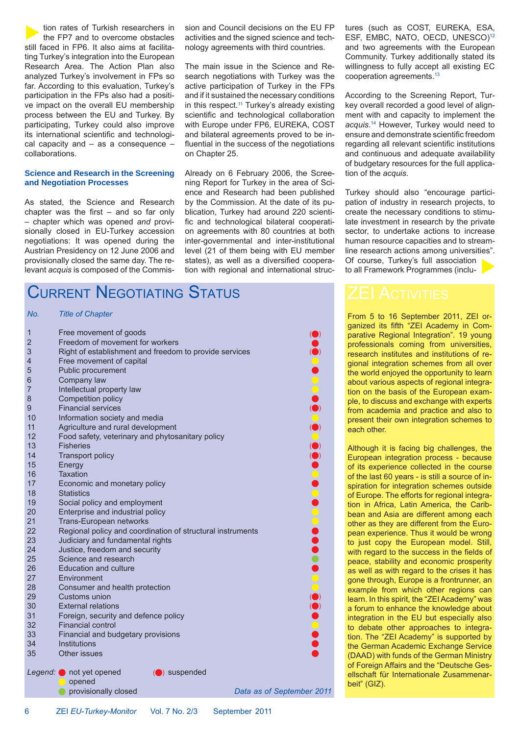tion rates of Turkish researchers in the FP7 and to overcome obstacles still faced in FP6. It also aims at facilitating Turkey's integration into the European Research Area. The Action Plan also analyzed Turkey's involvement in FPs so far. According to this evaluation, Turkey's participation in the FPs also had a positive impact on the overall EU membership process between the EU and Turkey. By participating, Turkey could also improve its international scientific and technological capacity and – as a consequence – collaborations.

### **Science and Research in the Screening and Negotiation Processes**

As stated, the Science and Research chapter was the first  $-$  and so far only – chapter which was opened *and* provisionally closed in EU-Turkey accession negotiations: It was opened during the Austrian Presidency on 12 June 2006 and provisionally closed the same day. The relevant *acquis* is composed of the Commis-

## CURRENT NEGOTIATING STATUS

### *No. Title of Chapter*

| $\mathbf 1$<br>$\overline{2}$<br>3 | Free movement of goods<br>Freedom of movement for workers<br>Right of establishment and freedom to provide services |                           |
|------------------------------------|---------------------------------------------------------------------------------------------------------------------|---------------------------|
| $\overline{4}$                     | Free movement of capital                                                                                            |                           |
| 5                                  | Public procurement                                                                                                  |                           |
| 6                                  | Company law                                                                                                         |                           |
| 7                                  | Intellectual property law                                                                                           |                           |
| 8                                  | Competition policy                                                                                                  |                           |
| 9                                  | <b>Financial services</b>                                                                                           |                           |
| 10                                 | Information society and media                                                                                       |                           |
| 11                                 | Agriculture and rural development                                                                                   |                           |
| 12                                 | Food safety, veterinary and phytosanitary policy                                                                    |                           |
| 13                                 | <b>Fisheries</b>                                                                                                    |                           |
| 14                                 | <b>Transport policy</b>                                                                                             |                           |
| 15                                 | Energy                                                                                                              | 000000000                 |
| 16                                 | <b>Taxation</b>                                                                                                     |                           |
| 17                                 | Economic and monetary policy                                                                                        |                           |
| 18                                 | <b>Statistics</b>                                                                                                   |                           |
| 19                                 | Social policy and employment                                                                                        |                           |
| 20                                 | Enterprise and industrial policy                                                                                    |                           |
| 21                                 | Trans-European networks                                                                                             |                           |
| 22                                 | Regional policy and coordination of structural instruments                                                          |                           |
| 23                                 | Judiciary and fundamental rights                                                                                    |                           |
| 24                                 | Justice, freedom and security                                                                                       |                           |
| 25                                 | Science and research                                                                                                |                           |
| 26                                 | <b>Education and culture</b>                                                                                        |                           |
| 27                                 | Environment                                                                                                         |                           |
| 28                                 | Consumer and health protection                                                                                      |                           |
| 29                                 | Customs union                                                                                                       |                           |
| 30                                 | <b>External relations</b>                                                                                           |                           |
| 31                                 | Foreign, security and defence policy                                                                                |                           |
| 32                                 | <b>Financial control</b>                                                                                            |                           |
| 33                                 | Financial and budgetary provisions                                                                                  |                           |
| 34                                 | Institutions                                                                                                        |                           |
| 35                                 | Other issues                                                                                                        |                           |
|                                    | Legend: not yet opened<br>$\left(\bigcirc\right)$ suspended<br>opened                                               |                           |
|                                    | provisionally closed                                                                                                | Data as of September 2011 |
|                                    |                                                                                                                     |                           |

sion and Council decisions on the EU FP activities and the signed science and technology agreements with third countries.

The main issue in the Science and Research negotiations with Turkey was the active participation of Turkey in the FPs and if it sustained the necessary conditions in this respect.<sup>11</sup> Turkey's already existing scientific and technological collaboration with Europe under FP6, EUREKA, COST and bilateral agreements proved to be influential in the success of the negotiations on Chapter 25.

Already on 6 February 2006, the Screening Report for Turkey in the area of Science and Research had been published by the Commission. At the date of its publication, Turkey had around 220 scientific and technological bilateral cooperation agreements with 80 countries at both inter-governmental and inter-institutional level (21 of them being with EU member states), as well as a diversified cooperation with regional and international structures (such as COST, EUREKA, ESA, ESF, EMBC, NATO, OECD, UNESCO)12 and two agreements with the European Community. Turkey additionally stated its willingness to fully accept all existing EC cooperation agreements.13

According to the Screening Report, Turkey overall recorded a good level of alignment with and capacity to implement the *acquis*. 14 However, Turkey would need to ensure and demonstrate scientific freedom regarding all relevant scientific institutions and continuous and adequate availability of budgetary resources for the full application of the *acquis*.

Turkey should also "encourage participation of industry in research projects, to create the necessary conditions to stimulate investment in research by the private sector, to undertake actions to increase human resource capacities and to streamline research actions among universities". Of course, Turkey's full association to all Framework Programmes (inclu-

From 5 to 16 September 2011, ZEI organized its fifth "ZEI Academy in Comparative Regional Integration". 19 young professionals coming from universities, research institutes and institutions of regional integration schemes from all over the world enjoyed the opportunity to learn about various aspects of regional integration on the basis of the European example, to discuss and exchange with experts from academia and practice and also to present their own integration schemes to each other.

Although it is facing big challenges, the European integration process - because of its experience collected in the course of the last 60 years - is still a source of inspiration for integration schemes outside of Europe. The efforts for regional integration in Africa, Latin America, the Caribbean and Asia are different among each other as they are different from the European experience. Thus it would be wrong to just copy the European model. Still, with regard to the success in the fields of peace, stability and economic prosperity as well as with regard to the crises it has gone through, Europe is a frontrunner, an example from which other regions can learn. In this spirit, the "ZEI Academy" was a forum to enhance the knowledge about integration in the EU but especially also to debate other approaches to integration. The "ZEI Academy" is supported by the German Academic Exchange Service (DAAD) with funds of the German Ministry of Foreign Affairs and the "Deutsche Gesellschaft für Internationale Zusammenarbeit" (GIZ).